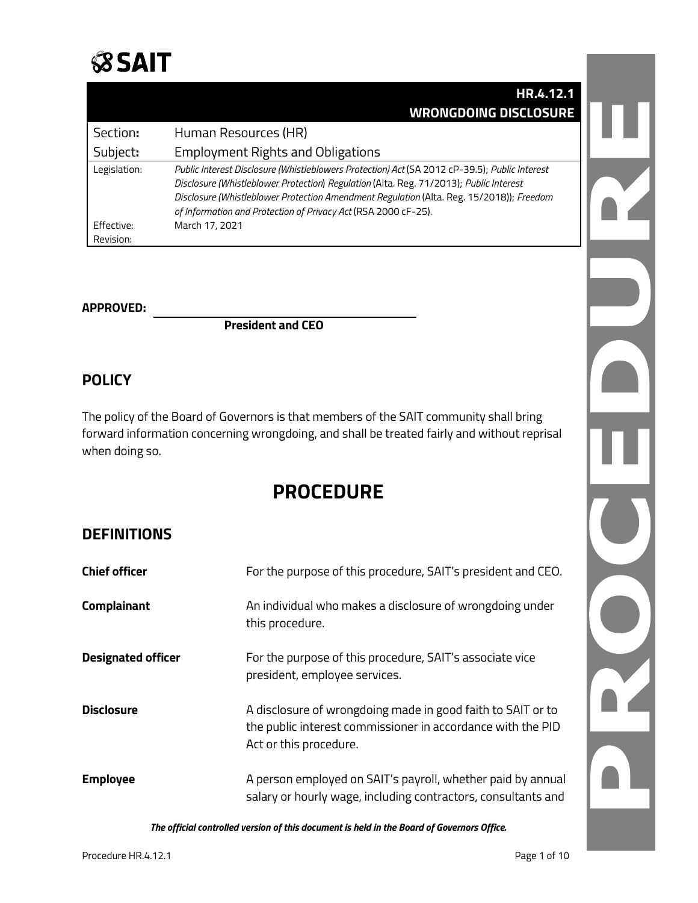

|              | HR.4.12.1                                                                                     |
|--------------|-----------------------------------------------------------------------------------------------|
|              | <b>WRONGDOING DISCLOSURE</b>                                                                  |
| Section:     | Human Resources (HR)                                                                          |
| Subject:     | <b>Employment Rights and Obligations</b>                                                      |
| Legislation: | Public Interest Disclosure (Whistleblowers Protection) Act (SA 2012 cP-39.5); Public Interest |
|              | Disclosure (Whistleblower Protection) Regulation (Alta. Reg. 71/2013); Public Interest        |
|              | Disclosure (Whistleblower Protection Amendment Regulation (Alta. Reg. 15/2018)); Freedom      |
|              | of Information and Protection of Privacy Act (RSA 2000 cF-25).                                |
| Effective:   | March 17, 2021                                                                                |
| Revision:    |                                                                                               |

#### **APPROVED:**

**President and CEO**

### **POLICY**

The policy of the Board of Governors is that members of the SAIT community shall bring forward information concerning wrongdoing, and shall be treated fairly and without reprisal when doing so.

# **PROCEDURE**

### **DEFINITIONS**

| <b>Chief officer</b>      | For the purpose of this procedure, SAIT's president and CEO.                                                                                         |
|---------------------------|------------------------------------------------------------------------------------------------------------------------------------------------------|
| <b>Complainant</b>        | An individual who makes a disclosure of wrongdoing under<br>this procedure.                                                                          |
| <b>Designated officer</b> | For the purpose of this procedure, SAIT's associate vice<br>president, employee services.                                                            |
| <b>Disclosure</b>         | A disclosure of wrongdoing made in good faith to SAIT or to<br>the public interest commissioner in accordance with the PID<br>Act or this procedure. |
| <b>Employee</b>           | A person employed on SAIT's payroll, whether paid by annual<br>salary or hourly wage, including contractors, consultants and                         |

*The official controlled version of this document is held in the Board of Governors Office.*

TZ.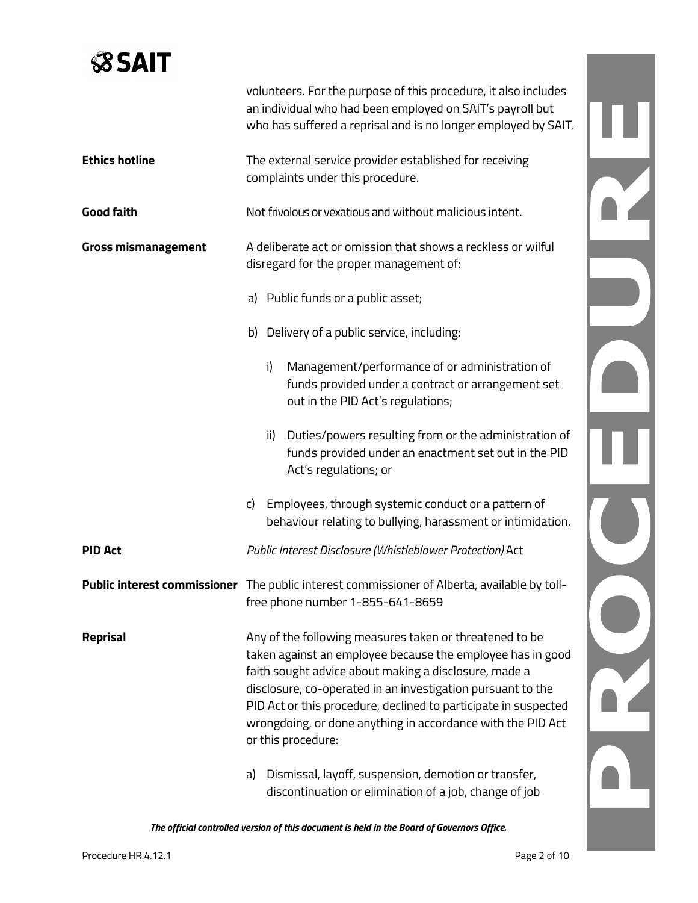# **SSAIT**

|                            | volunteers. For the purpose of this procedure, it also includes<br>an individual who had been employed on SAIT's payroll but<br>who has suffered a reprisal and is no longer employed by SAIT.                                                                                                                                                                                                        |  |
|----------------------------|-------------------------------------------------------------------------------------------------------------------------------------------------------------------------------------------------------------------------------------------------------------------------------------------------------------------------------------------------------------------------------------------------------|--|
| <b>Ethics hotline</b>      | The external service provider established for receiving<br>complaints under this procedure.                                                                                                                                                                                                                                                                                                           |  |
| <b>Good faith</b>          | Not frivolous or vexatious and without malicious intent.                                                                                                                                                                                                                                                                                                                                              |  |
| <b>Gross mismanagement</b> | A deliberate act or omission that shows a reckless or wilful<br>disregard for the proper management of:                                                                                                                                                                                                                                                                                               |  |
|                            | a) Public funds or a public asset;                                                                                                                                                                                                                                                                                                                                                                    |  |
|                            | b) Delivery of a public service, including:                                                                                                                                                                                                                                                                                                                                                           |  |
|                            | Management/performance of or administration of<br>i)<br>funds provided under a contract or arrangement set<br>out in the PID Act's regulations;                                                                                                                                                                                                                                                       |  |
|                            | Duties/powers resulting from or the administration of<br>ii)<br>funds provided under an enactment set out in the PID<br>Act's regulations; or                                                                                                                                                                                                                                                         |  |
|                            | Employees, through systemic conduct or a pattern of<br>c)<br>behaviour relating to bullying, harassment or intimidation.                                                                                                                                                                                                                                                                              |  |
| <b>PID Act</b>             | Public Interest Disclosure (Whistleblower Protection) Act                                                                                                                                                                                                                                                                                                                                             |  |
|                            | Public interest commissioner The public interest commissioner of Alberta, available by toll-<br>free phone number 1-855-641-8659                                                                                                                                                                                                                                                                      |  |
| Reprisal                   | Any of the following measures taken or threatened to be<br>taken against an employee because the employee has in good<br>faith sought advice about making a disclosure, made a<br>disclosure, co-operated in an investigation pursuant to the<br>PID Act or this procedure, declined to participate in suspected<br>wrongdoing, or done anything in accordance with the PID Act<br>or this procedure: |  |
|                            | Dismissal, layoff, suspension, demotion or transfer,<br>a)<br>discontinuation or elimination of a job, change of job                                                                                                                                                                                                                                                                                  |  |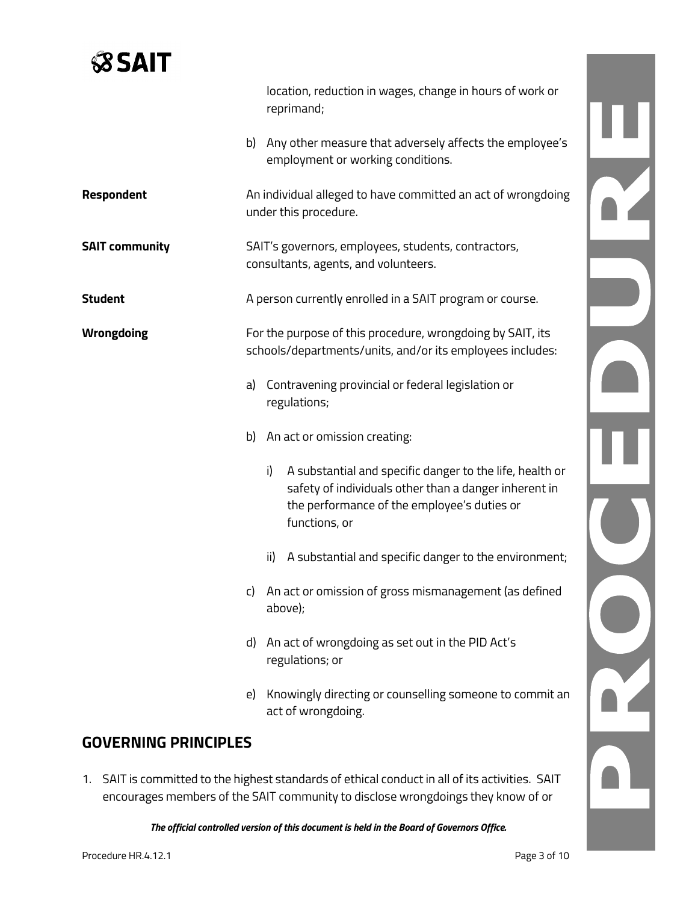# **SSAIT**

|                       |    | location, reduction in wages, change in hours of work or<br>reprimand;                                                                                                                  |  |
|-----------------------|----|-----------------------------------------------------------------------------------------------------------------------------------------------------------------------------------------|--|
|                       |    | b) Any other measure that adversely affects the employee's<br>employment or working conditions.                                                                                         |  |
| Respondent            |    | An individual alleged to have committed an act of wrongdoing<br>under this procedure.                                                                                                   |  |
| <b>SAIT community</b> |    | SAIT's governors, employees, students, contractors,<br>consultants, agents, and volunteers.                                                                                             |  |
| <b>Student</b>        |    | A person currently enrolled in a SAIT program or course.                                                                                                                                |  |
| <b>Wrongdoing</b>     |    | For the purpose of this procedure, wrongdoing by SAIT, its<br>schools/departments/units, and/or its employees includes:                                                                 |  |
|                       | a) | Contravening provincial or federal legislation or<br>regulations;                                                                                                                       |  |
|                       |    | b) An act or omission creating:                                                                                                                                                         |  |
|                       |    | A substantial and specific danger to the life, health or<br>i)<br>safety of individuals other than a danger inherent in<br>the performance of the employee's duties or<br>functions, or |  |
|                       |    | A substantial and specific danger to the environment;<br>ii)                                                                                                                            |  |
|                       |    | c) An act or omission of gross mismanagement (as defined<br>above);                                                                                                                     |  |
|                       | d) | An act of wrongdoing as set out in the PID Act's<br>regulations; or                                                                                                                     |  |
|                       | e) | Knowingly directing or counselling someone to commit an<br>act of wrongdoing.                                                                                                           |  |

## **GOVERNING PRINCIPLES**

1. SAIT is committed to the highest standards of ethical conduct in all of its activities. SAIT encourages members of the SAIT community to disclose wrongdoings they know of or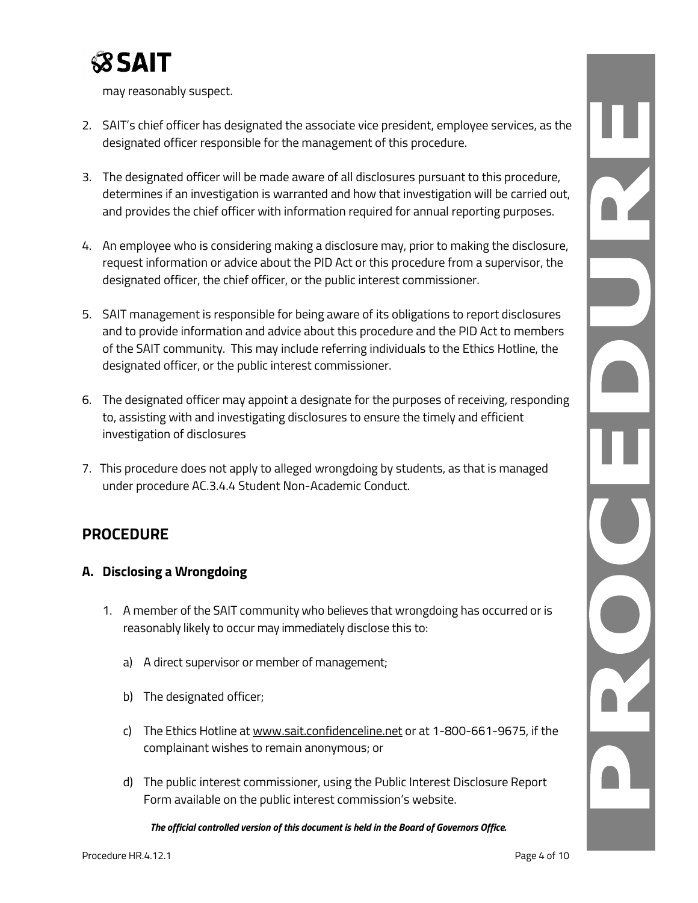

may reasonably suspect.

- 2. SAIT's chief officer has designated the associate vice president, employee services, as the designated officer responsible for the management of this procedure.
- 3. The designated officer will be made aware of all disclosures pursuant to this procedure, determines if an investigation is warranted and how that investigation will be carried out, and provides the chief officer with information required for annual reporting purposes.
- 4. An employee who is considering making a disclosure may, prior to making the disclosure, request information or advice about the PID Act or this procedure from a supervisor, the designated officer, the chief officer, or the public interest commissioner.
- 5. SAIT management is responsible for being aware of its obligations to report disclosures and to provide information and advice about this procedure and the PID Act to members of the SAIT community. This may include referring individuals to the Ethics Hotline, the designated officer, or the public interest commissioner.
- 6. The designated officer may appoint a designate for the purposes of receiving, responding to, assisting with and investigating disclosures to ensure the timely and efficient investigation of disclosures
- 7. This procedure does not apply to alleged wrongdoing by students, as that is managed under procedure AC.3.4.4 Student Non-Academic Conduct.

## **PROCEDURE**

### **A. Disclosing a Wrongdoing**

- 1. A member of the SAIT community who believes that wrongdoing has occurred or is reasonably likely to occur may immediately disclose this to:
	- a) A direct supervisor or member of management;
	- b) The designated officer;
	- c) The Ethics Hotline at [www.sait.confidenceline.net](http://www.sait.confidenceline.net/) or at 1-800-661-9675, if the complainant wishes to remain anonymous; or
	- d) The public interest commissioner, using the Public Interest Disclosure Report Form available on the public interest commission's website.

*The official controlled version of this document is held in the Board of Governors Office.*

Y N R Q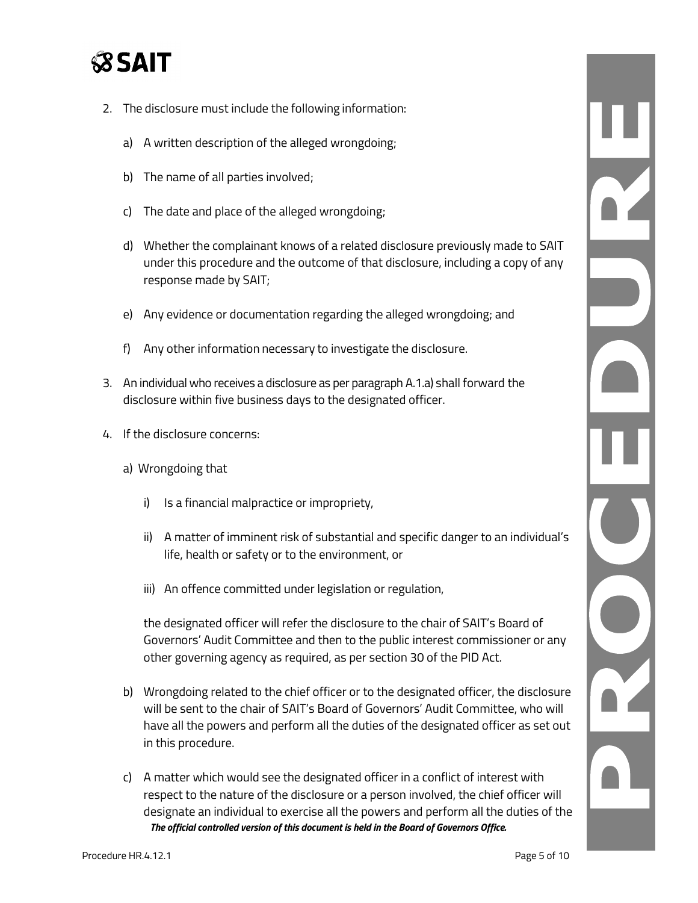# **SSAIT**

- 2. The disclosure must include the following information:
	- a) A written description of the alleged wrongdoing;
	- b) The name of all parties involved;
	- c) The date and place of the alleged wrongdoing;
	- d) Whether the complainant knows of a related disclosure previously made to SAIT under this procedure and the outcome of that disclosure, including a copy of any response made by SAIT;
	- e) Any evidence or documentation regarding the alleged wrongdoing; and
	- f) Any other information necessary to investigate the disclosure.
- 3. An individual who receives a disclosure as per paragraph A.1.a) shall forward the disclosure within five business days to the designated officer.
- 4. If the disclosure concerns:
	- a) Wrongdoing that
		- i) Is a financial malpractice or impropriety,
		- ii) A matter of imminent risk of substantial and specific danger to an individual's life, health or safety or to the environment, or
		- iii) An offence committed under legislation or regulation,

the designated officer will refer the disclosure to the chair of SAIT's Board of Governors' Audit Committee and then to the public interest commissioner or any other governing agency as required, as per section 30 of the PID Act.

- b) Wrongdoing related to the chief officer or to the designated officer, the disclosure will be sent to the chair of SAIT's Board of Governors' Audit Committee, who will have all the powers and perform all the duties of the designated officer as set out in this procedure.
- *The official controlled version of this document is held in the Board of Governors Office.* c) A matter which would see the designated officer in a conflict of interest with respect to the nature of the disclosure or a person involved, the chief officer will designate an individual to exercise all the powers and perform all the duties of the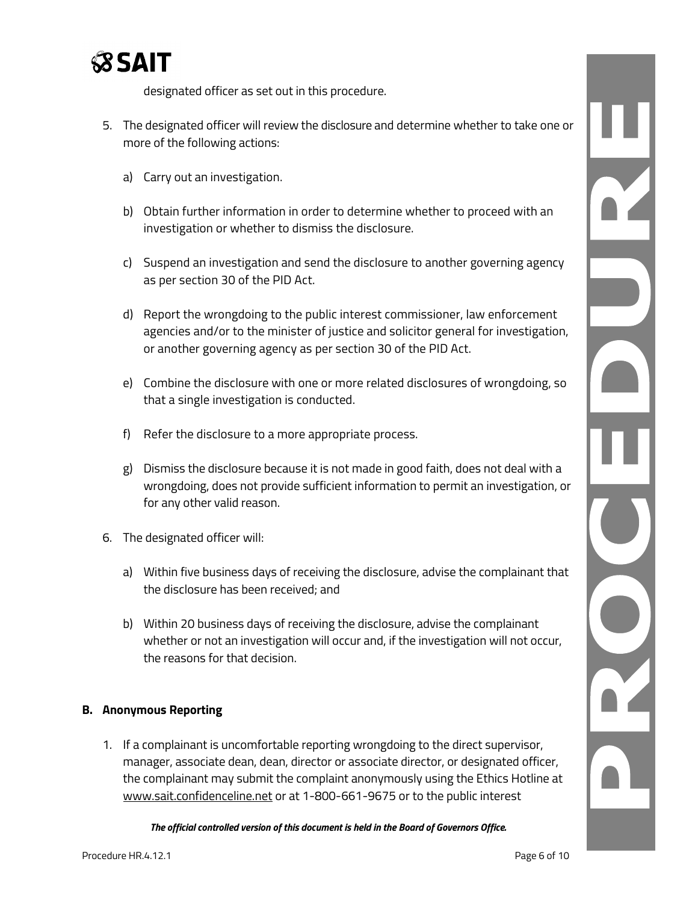

designated officer as set out in this procedure.

- 5. The designated officer will review the disclosure and determine whether to take one or more of the following actions:
	- a) Carry out an investigation.
	- b) Obtain further information in order to determine whether to proceed with an investigation or whether to dismiss the disclosure.
	- c) Suspend an investigation and send the disclosure to another governing agency as per section 30 of the PID Act.
	- d) Report the wrongdoing to the public interest commissioner, law enforcement agencies and/or to the minister of justice and solicitor general for investigation, or another governing agency as per section 30 of the PID Act.
	- e) Combine the disclosure with one or more related disclosures of wrongdoing, so that a single investigation is conducted.
	- f) Refer the disclosure to a more appropriate process.
	- g) Dismiss the disclosure because it is not made in good faith, does not deal with a wrongdoing, does not provide sufficient information to permit an investigation, or for any other valid reason.
- 6. The designated officer will:
	- a) Within five business days of receiving the disclosure, advise the complainant that the disclosure has been received; and
	- b) Within 20 business days of receiving the disclosure, advise the complainant whether or not an investigation will occur and, if the investigation will not occur, the reasons for that decision.

### **B. Anonymous Reporting**

1. If a complainant is uncomfortable reporting wrongdoing to the direct supervisor, manager, associate dean, dean, director or associate director, or designated officer, the complainant may submit the complaint anonymously using the Ethics Hotline at [www.sait.confidenceline.net](http://www.sait.confidenceline.net/) or at 1-800-661-9675 or to the public interest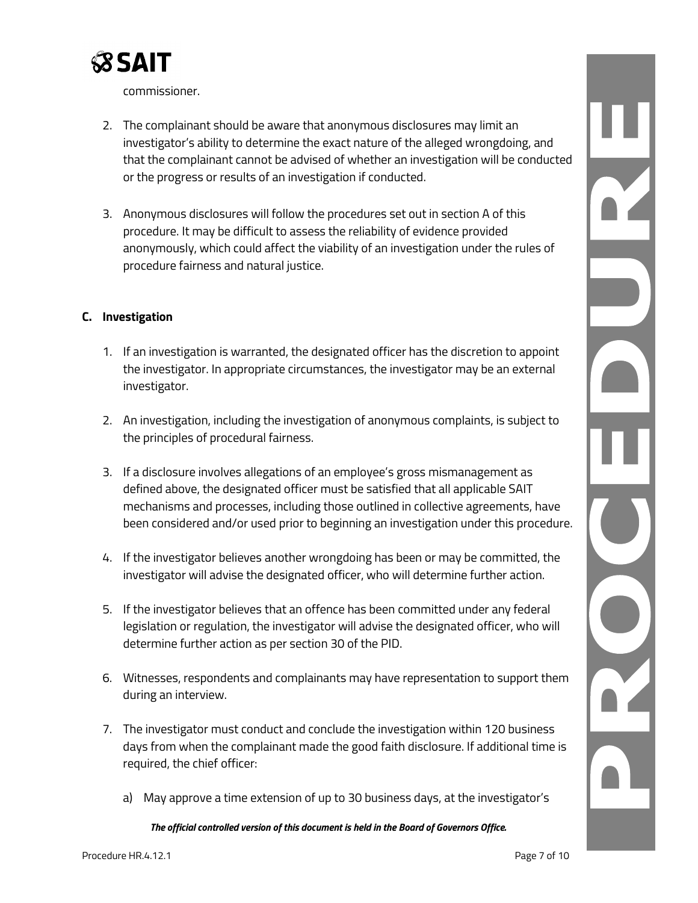

commissioner.

- 2. The complainant should be aware that anonymous disclosures may limit an investigator's ability to determine the exact nature of the alleged wrongdoing, and that the complainant cannot be advised of whether an investigation will be conducted or the progress or results of an investigation if conducted.
- 3. Anonymous disclosures will follow the procedures set out in section A of this procedure. It may be difficult to assess the reliability of evidence provided anonymously, which could affect the viability of an investigation under the rules of procedure fairness and natural justice.

### **C. Investigation**

- 1. If an investigation is warranted, the designated officer has the discretion to appoint the investigator. In appropriate circumstances, the investigator may be an external investigator.
- 2. An investigation, including the investigation of anonymous complaints, is subject to the principles of procedural fairness.
- 3. If a disclosure involves allegations of an employee's gross mismanagement as defined above, the designated officer must be satisfied that all applicable SAIT mechanisms and processes, including those outlined in collective agreements, have been considered and/or used prior to beginning an investigation under this procedure.
- 4. If the investigator believes another wrongdoing has been or may be committed, the investigator will advise the designated officer, who will determine further action.
- 5. If the investigator believes that an offence has been committed under any federal legislation or regulation, the investigator will advise the designated officer, who will determine further action as per section 30 of the PID.
- 6. Witnesses, respondents and complainants may have representation to support them during an interview.
- 7. The investigator must conduct and conclude the investigation within 120 business days from when the complainant made the good faith disclosure. If additional time is required, the chief officer:
	- a) May approve a time extension of up to 30 business days, at the investigator's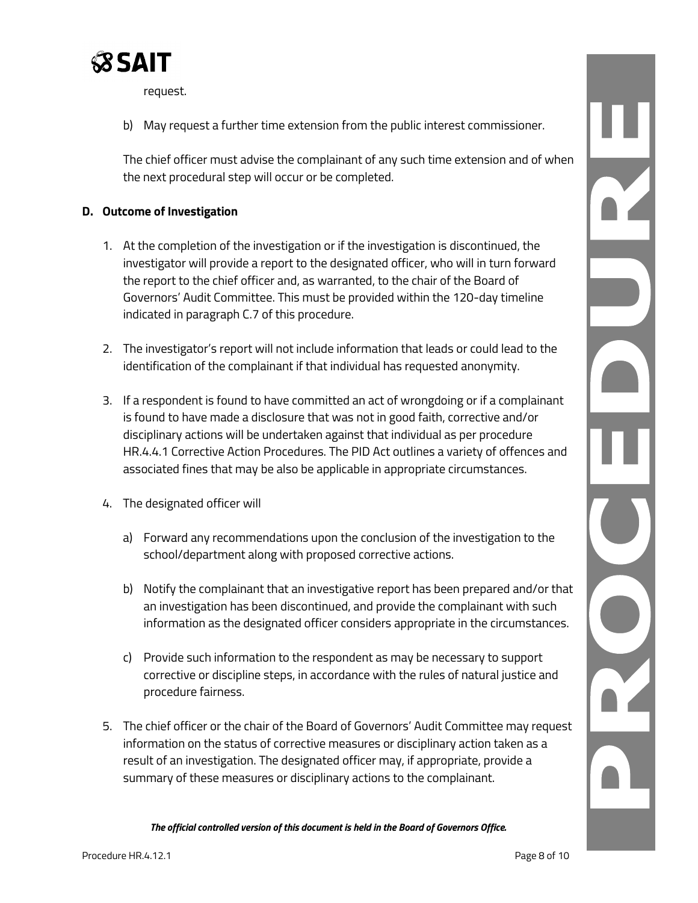

request.

b) May request a further time extension from the public interest commissioner.

The chief officer must advise the complainant of any such time extension and of when the next procedural step will occur or be completed.

### **D. Outcome of Investigation**

- 1. At the completion of the investigation or if the investigation is discontinued, the investigator will provide a report to the designated officer, who will in turn forward the report to the chief officer and, as warranted, to the chair of the Board of Governors' Audit Committee. This must be provided within the 120-day timeline indicated in paragraph C.7 of this procedure.
- 2. The investigator's report will not include information that leads or could lead to the identification of the complainant if that individual has requested anonymity.
- 3. If a respondent is found to have committed an act of wrongdoing or if a complainant is found to have made a disclosure that was not in good faith, corrective and/or disciplinary actions will be undertaken against that individual as per procedure HR.4.4.1 Corrective Action Procedures. The PID Act outlines a variety of offences and associated fines that may be also be applicable in appropriate circumstances.
- 4. The designated officer will
	- a) Forward any recommendations upon the conclusion of the investigation to the school/department along with proposed corrective actions.
	- b) Notify the complainant that an investigative report has been prepared and/or that an investigation has been discontinued, and provide the complainant with such information as the designated officer considers appropriate in the circumstances.
	- c) Provide such information to the respondent as may be necessary to support corrective or discipline steps, in accordance with the rules of natural justice and procedure fairness.
- 5. The chief officer or the chair of the Board of Governors' Audit Committee may request information on the status of corrective measures or disciplinary action taken as a result of an investigation. The designated officer may, if appropriate, provide a summary of these measures or disciplinary actions to the complainant.

*The official controlled version of this document is held in the Board of Governors Office.*

L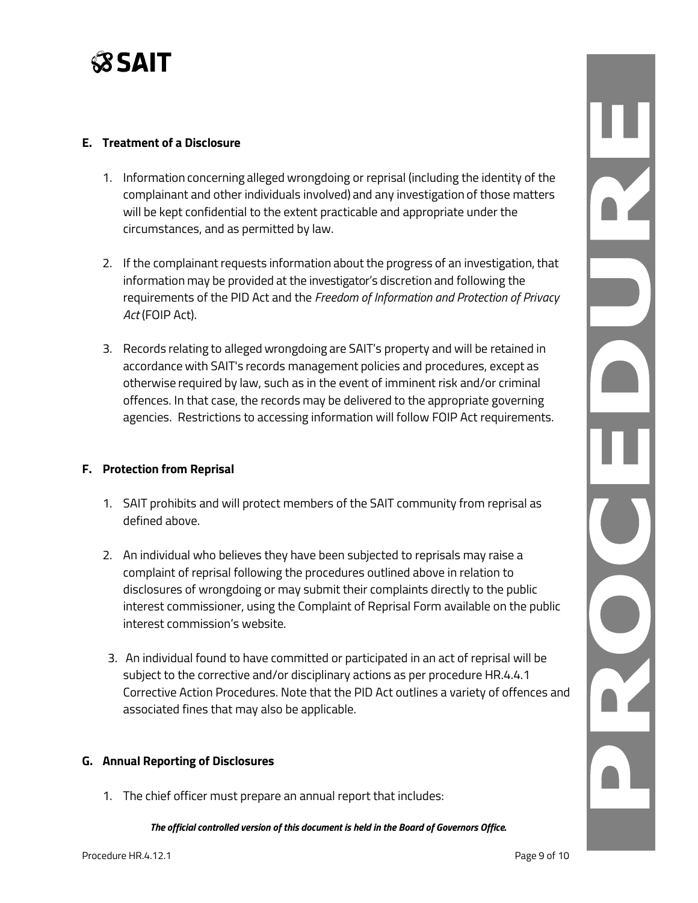

#### **E. Treatment of a Disclosure**

- 1. Information concerning alleged wrongdoing or reprisal (including the identity of the complainant and other individuals involved) and any investigation of those matters will be kept confidential to the extent practicable and appropriate under the circumstances, and as permitted by law.
- 2. If the complainant requests information about the progress of an investigation, that information may be provided at the investigator's discretion and following the requirements of the PID Act and the *Freedom of Information and Protection of Privacy Act* (FOIP Act).
- 3. Records relating to alleged wrongdoing are SAIT's property and will be retained in accordance with SAIT's records management policies and procedures, except as otherwise required by law, such as in the event of imminent risk and/or criminal offences. In that case, the records may be delivered to the appropriate governing agencies. Restrictions to accessing information will follow FOIP Act requirements.

### **F. Protection from Reprisal**

- 1. SAIT prohibits and will protect members of the SAIT community from reprisal as defined above.
- 2. An individual who believes they have been subjected to reprisals may raise a complaint of reprisal following the procedures outlined above in relation to disclosures of wrongdoing or may submit their complaints directly to the public interest commissioner, using the Complaint of Reprisal Form available on the public interest commission's website.
- 3. An individual found to have committed or participated in an act of reprisal will be subject to the corrective and/or disciplinary actions as per procedure HR.4.4.1 Corrective Action Procedures. Note that the PID Act outlines a variety of offences and associated fines that may also be applicable.

### **G. Annual Reporting of Disclosures**

1. The chief officer must prepare an annual report that includes: